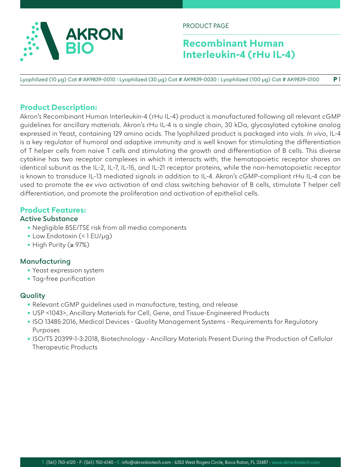

PRODUCT PAGE

# **Recombinant Human Interleukin-4 (rHu IL-4)**

Lyophilized (10 µg) Cat # AK9839-0010 I Lyophilized (30 µg) Cat # AK9839-0030 I Lyophilized (100 µg) Cat # AK9839-0100 **P** 1

## **Product Description:**

Akron's Recombinant Human Interleukin-4 (rHu IL-4) product is manufactured following all relevant cGMP guidelines for ancillary materials. Akron's rHu IL-4 is a single chain, 30 kDa, glycosylated cytokine analog expressed in Yeast, containing 129 amino acids. The lyophilized product is packaged into vials. *In vivo*, IL-4 is a key regulator of humoral and adaptive immunity and is well known for stimulating the differentiation of T helper cells from naive T cells and stimulating the growth and differentiation of B cells. This diverse cytokine has two receptor complexes in which it interacts with; the hematopoietic receptor shares an identical subunit as the IL-2, IL-7, IL-15, and IL-21 receptor proteins, while the non-hematopoietic receptor is known to transduce IL-13 mediated signals in addition to IL-4. Akron's cGMP-compliant rHu IL-4 can be used to promote the *ex vivo* activation of and class switching behavior of B cells, stimulate T helper cell differentiation, and promote the proliferation and activation of epithelial cells.

### **Product Features:**

### **Active Substance**

- Negligible BSE/TSE risk from all media components
- Low Endotoxin (<1 EU/µq)
- High Purity (≥ 97%)

### **Manufacturing**

- Yeast expression system
- Tag-free purification

### **Quality**

- Relevant cGMP guidelines used in manufacture, testing, and release
- USP <1043>, Ancillary Materials for Cell, Gene, and Tissue-Engineered Products
- ISO 13485:2016, Medical Devices Quality Management Systems Requirements for Regulatory Purposes
- ISO/TS 20399-1-3:2018, Biotechnology Ancillary Materials Present During the Production of Cellular Therapeutic Products